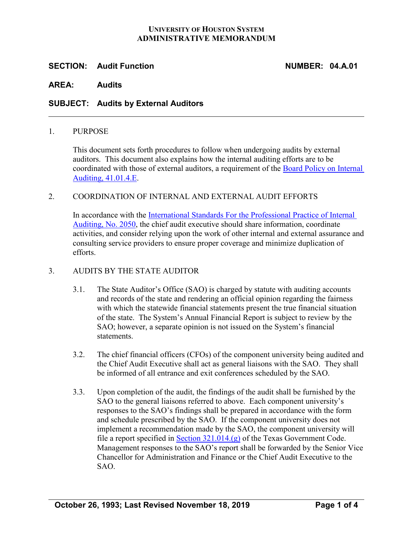#### **UNIVERSITY OF HOUSTON SYSTEM ADMINISTRATIVE MEMORANDUM**

## **SECTION: Audit Function NUMBER: 04.A.01**

#### **AREA: Audits**

### **SUBJECT: Audits by External Auditors**

#### 1. PURPOSE

This document sets forth procedures to follow when undergoing audits by external auditors. This document also explains how the internal auditing efforts are to be coordinated with those of external auditors, a requirement of the [Board Policy on Internal](http://www.uhsystem.edu/board-of-regents/policies/index.php#BOR%20Policies%20Section%20V)  [Auditing, 41.01.4.E.](http://www.uhsystem.edu/board-of-regents/policies/index.php#BOR%20Policies%20Section%20V)

#### 2. COORDINATION OF INTERNAL AND EXTERNAL AUDIT EFFORTS

In accordance with the [International Standards For the Professional Practice of Internal](https://na.theiia.org/standards-guidance/Public%20Documents/IPPF-Standards-2017.pdf)  [Auditing, No. 2050,](https://na.theiia.org/standards-guidance/Public%20Documents/IPPF-Standards-2017.pdf) the chief audit executive should share information, coordinate activities, and consider relying upon the work of other internal and external assurance and consulting service providers to ensure proper coverage and minimize duplication of efforts.

#### 3. AUDITS BY THE STATE AUDITOR

- 3.1. The State Auditor's Office (SAO) is charged by statute with auditing accounts and records of the state and rendering an official opinion regarding the fairness with which the statewide financial statements present the true financial situation of the state. The System's Annual Financial Report is subject to review by the SAO; however, a separate opinion is not issued on the System's financial statements.
- 3.2. The chief financial officers (CFOs) of the component university being audited and the Chief Audit Executive shall act as general liaisons with the SAO. They shall be informed of all entrance and exit conferences scheduled by the SAO.
- 3.3. Upon completion of the audit, the findings of the audit shall be furnished by the SAO to the general liaisons referred to above. Each component university's responses to the SAO's findings shall be prepared in accordance with the form and schedule prescribed by the SAO. If the component university does not implement a recommendation made by the SAO, the component university will file a report specified in [Section 321.014.\(g\)](https://statutes.capitol.texas.gov/Docs/GV/htm/GV.321.htm#321.014) of the Texas Government Code. Management responses to the SAO's report shall be forwarded by the Senior Vice Chancellor for Administration and Finance or the Chief Audit Executive to the SAO.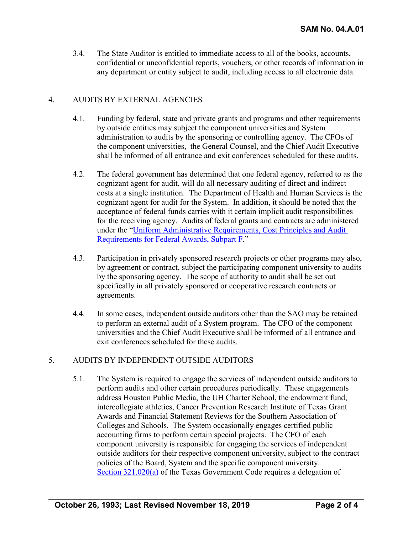3.4. The State Auditor is entitled to immediate access to all of the books, accounts, confidential or unconfidential reports, vouchers, or other records of information in any department or entity subject to audit, including access to all electronic data.

# 4. AUDITS BY EXTERNAL AGENCIES

- 4.1. Funding by federal, state and private grants and programs and other requirements by outside entities may subject the component universities and System administration to audits by the sponsoring or controlling agency. The CFOs of the component universities, the General Counsel, and the Chief Audit Executive shall be informed of all entrance and exit conferences scheduled for these audits.
- 4.2. The federal government has determined that one federal agency, referred to as the cognizant agent for audit, will do all necessary auditing of direct and indirect costs at a single institution. The Department of Health and Human Services is the cognizant agent for audit for the System. In addition, it should be noted that the acceptance of federal funds carries with it certain implicit audit responsibilities for the receiving agency. Audits of federal grants and contracts are administered under the ["Uniform Administrative Requirements, Cost Principles and Audit](https://www.gpo.gov/fdsys/granule/CFR-2014-title2-vol1/CFR-2014-title2-vol1-part200/content-detail.html)  [Requirements for Federal Awards, Subpart F.](https://www.gpo.gov/fdsys/granule/CFR-2014-title2-vol1/CFR-2014-title2-vol1-part200/content-detail.html)"
- 4.3. Participation in privately sponsored research projects or other programs may also, by agreement or contract, subject the participating component university to audits by the sponsoring agency. The scope of authority to audit shall be set out specifically in all privately sponsored or cooperative research contracts or agreements.
- 4.4. In some cases, independent outside auditors other than the SAO may be retained to perform an external audit of a System program. The CFO of the component universities and the Chief Audit Executive shall be informed of all entrance and exit conferences scheduled for these audits.

# 5. AUDITS BY INDEPENDENT OUTSIDE AUDITORS

5.1. The System is required to engage the services of independent outside auditors to perform audits and other certain procedures periodically. These engagements address Houston Public Media, the UH Charter School, the endowment fund, intercollegiate athletics, Cancer Prevention Research Institute of Texas Grant Awards and Financial Statement Reviews for the Southern Association of Colleges and Schools. The System occasionally engages certified public accounting firms to perform certain special projects. The CFO of each component university is responsible for engaging the services of independent outside auditors for their respective component university, subject to the contract policies of the Board, System and the specific component university. [Section 321.020\(a\)](https://statutes.capitol.texas.gov/Docs/GV/htm/GV.321.htm#321.020) of the Texas Government Code requires a delegation of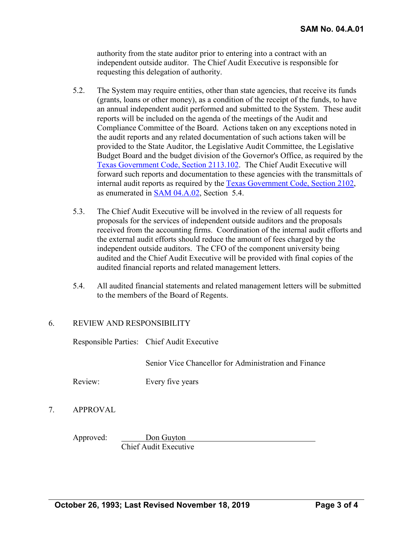authority from the state auditor prior to entering into a contract with an independent outside auditor. The Chief Audit Executive is responsible for requesting this delegation of authority.

- 5.2. The System may require entities, other than state agencies, that receive its funds (grants, loans or other money), as a condition of the receipt of the funds, to have an annual independent audit performed and submitted to the System. These audit reports will be included on the agenda of the meetings of the Audit and Compliance Committee of the Board. Actions taken on any exceptions noted in the audit reports and any related documentation of such actions taken will be provided to the State Auditor, the Legislative Audit Committee, the Legislative Budget Board and the budget division of the Governor's Office, as required by the [Texas Government Code, Section 2113.102.](https://statutes.capitol.texas.gov/Docs/GV/htm/GV.2113.htm#2113.102) The Chief Audit Executive will forward such reports and documentation to these agencies with the transmittals of internal audit reports as required by the [Texas Government Code, Section 2102,](https://statutes.capitol.texas.gov/Docs/GV/htm/GV.2102.htm) as enumerated in [SAM 04.A.02,](http://www.uhsystem.edu/compliance-ethics/_docs/sam/04/4a2.pdf) Section 5.4.
- 5.3. The Chief Audit Executive will be involved in the review of all requests for proposals for the services of independent outside auditors and the proposals received from the accounting firms. Coordination of the internal audit efforts and the external audit efforts should reduce the amount of fees charged by the independent outside auditors. The CFO of the component university being audited and the Chief Audit Executive will be provided with final copies of the audited financial reports and related management letters.
- 5.4. All audited financial statements and related management letters will be submitted to the members of the Board of Regents.

# 6. REVIEW AND RESPONSIBILITY

Responsible Parties: Chief Audit Executive

Senior Vice Chancellor for Administration and Finance

Review: Every five years

7. APPROVAL

Approved: Don Guyton Chief Audit Executive